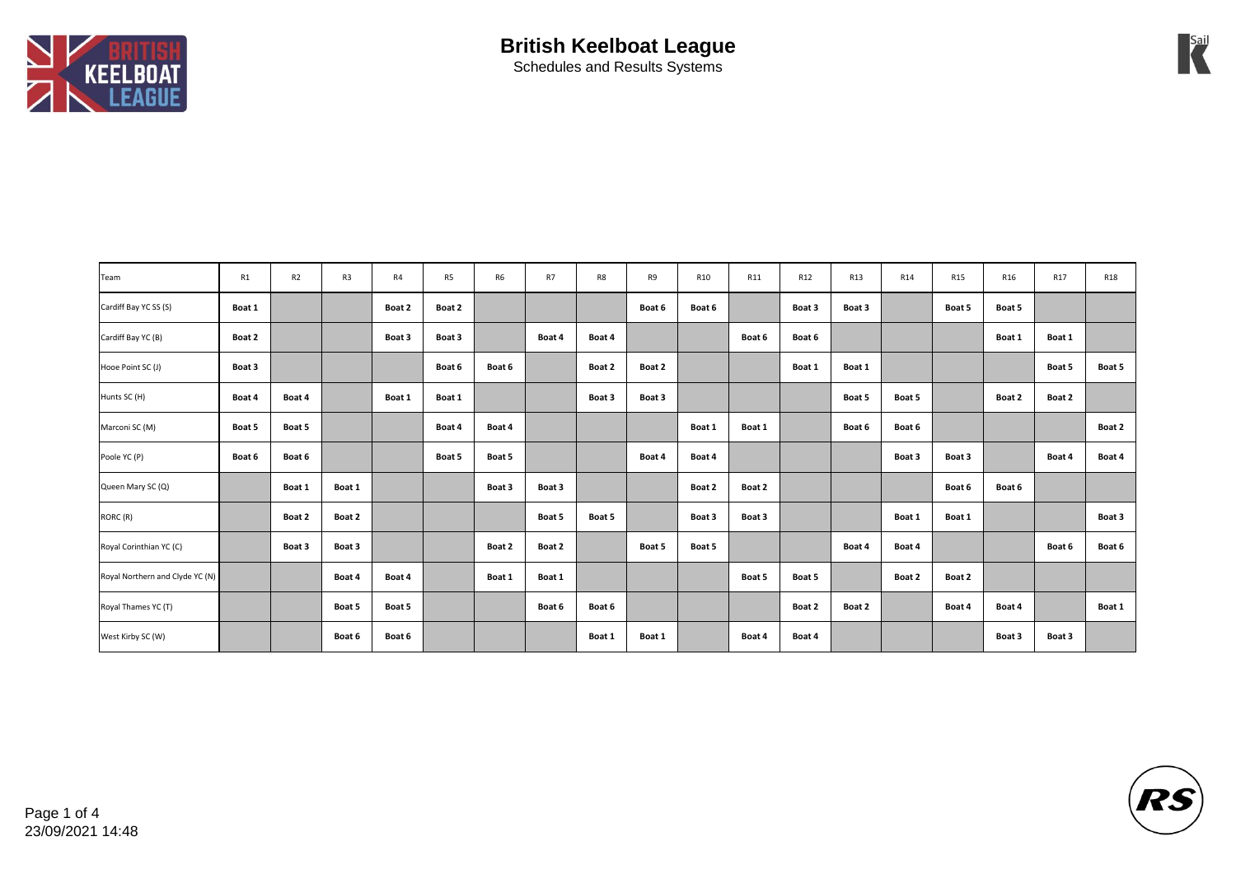

| Team                            | R1     | R <sub>2</sub> | R <sub>3</sub> | R4     | R5     | R <sub>6</sub> | R7     | R8     | R9     | R10    | R11    | R12    | R13    | R14    | R15    | R16    | R17    | <b>R18</b> |
|---------------------------------|--------|----------------|----------------|--------|--------|----------------|--------|--------|--------|--------|--------|--------|--------|--------|--------|--------|--------|------------|
| Cardiff Bay YC SS (S)           | Boat 1 |                |                | Boat 2 | Boat 2 |                |        |        | Boat 6 | Boat 6 |        | Boat 3 | Boat 3 |        | Boat 5 | Boat 5 |        |            |
| Cardiff Bay YC (B)              | Boat 2 |                |                | Boat 3 | Boat 3 |                | Boat 4 | Boat 4 |        |        | Boat 6 | Boat 6 |        |        |        | Boat 1 | Boat 1 |            |
| Hooe Point SC (J)               | Boat 3 |                |                |        | Boat 6 | Boat 6         |        | Boat 2 | Boat 2 |        |        | Boat 1 | Boat 1 |        |        |        | Boat 5 | Boat 5     |
| Hunts SC (H)                    | Boat 4 | Boat 4         |                | Boat 1 | Boat 1 |                |        | Boat 3 | Boat 3 |        |        |        | Boat 5 | Boat 5 |        | Boat 2 | Boat 2 |            |
| Marconi SC (M)                  | Boat 5 | Boat 5         |                |        | Boat 4 | Boat 4         |        |        |        | Boat 1 | Boat 1 |        | Boat 6 | Boat 6 |        |        |        | Boat 2     |
| Poole YC (P)                    | Boat 6 | Boat 6         |                |        | Boat 5 | Boat 5         |        |        | Boat 4 | Boat 4 |        |        |        | Boat 3 | Boat 3 |        | Boat 4 | Boat 4     |
| Queen Mary SC (Q)               |        | Boat 1         | Boat 1         |        |        | Boat 3         | Boat 3 |        |        | Boat 2 | Boat 2 |        |        |        | Boat 6 | Boat 6 |        |            |
| RORC (R)                        |        | Boat 2         | Boat 2         |        |        |                | Boat 5 | Boat 5 |        | Boat 3 | Boat 3 |        |        | Boat 1 | Boat 1 |        |        | Boat 3     |
| Royal Corinthian YC (C)         |        | Boat 3         | Boat 3         |        |        | Boat 2         | Boat 2 |        | Boat 5 | Boat 5 |        |        | Boat 4 | Boat 4 |        |        | Boat 6 | Boat 6     |
| Royal Northern and Clyde YC (N) |        |                | Boat 4         | Boat 4 |        | Boat 1         | Boat 1 |        |        |        | Boat 5 | Boat 5 |        | Boat 2 | Boat 2 |        |        |            |
| Royal Thames YC (T)             |        |                | Boat 5         | Boat 5 |        |                | Boat 6 | Boat 6 |        |        |        | Boat 2 | Boat 2 |        | Boat 4 | Boat 4 |        | Boat 1     |
| West Kirby SC (W)               |        |                | Boat 6         | Boat 6 |        |                |        | Boat 1 | Boat 1 |        | Boat 4 | Boat 4 |        |        |        | Boat 3 | Boat 3 |            |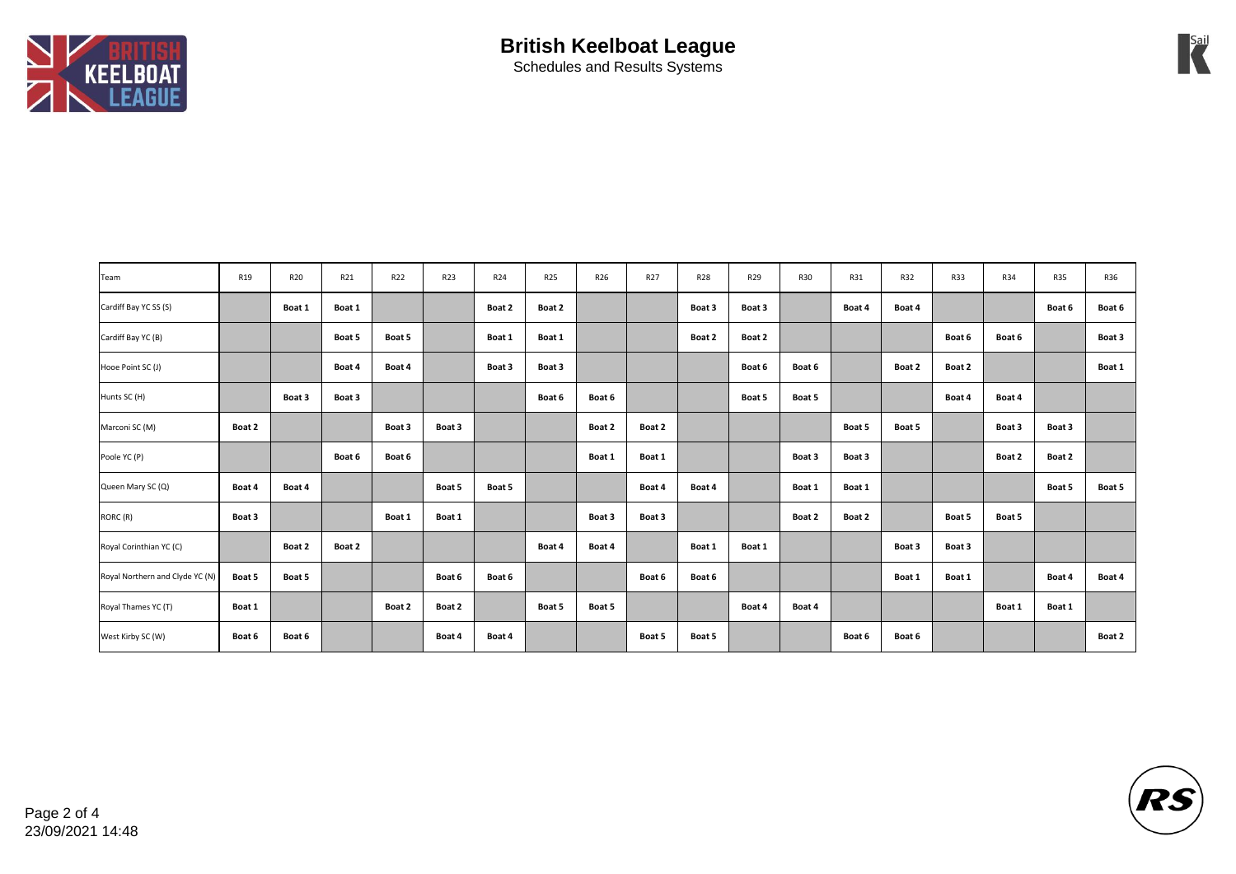

| Team                            | R19    | R <sub>20</sub> | R21    | R22    | R23    | R24    | <b>R25</b> | R26    | R27    | <b>R28</b> | R29    | <b>R30</b> | R31    | <b>R32</b> | <b>R33</b> | R34    | <b>R35</b> | R36    |
|---------------------------------|--------|-----------------|--------|--------|--------|--------|------------|--------|--------|------------|--------|------------|--------|------------|------------|--------|------------|--------|
| Cardiff Bay YC SS (S)           |        | Boat 1          | Boat 1 |        |        | Boat 2 | Boat 2     |        |        | Boat 3     | Boat 3 |            | Boat 4 | Boat 4     |            |        | Boat 6     | Boat 6 |
| Cardiff Bay YC (B)              |        |                 | Boat 5 | Boat 5 |        | Boat 1 | Boat 1     |        |        | Boat 2     | Boat 2 |            |        |            | Boat 6     | Boat 6 |            | Boat 3 |
| Hooe Point SC (J)               |        |                 | Boat 4 | Boat 4 |        | Boat 3 | Boat 3     |        |        |            | Boat 6 | Boat 6     |        | Boat 2     | Boat 2     |        |            | Boat 1 |
| Hunts SC (H)                    |        | Boat 3          | Boat 3 |        |        |        | Boat 6     | Boat 6 |        |            | Boat 5 | Boat 5     |        |            | Boat 4     | Boat 4 |            |        |
| Marconi SC (M)                  | Boat 2 |                 |        | Boat 3 | Boat 3 |        |            | Boat 2 | Boat 2 |            |        |            | Boat 5 | Boat 5     |            | Boat 3 | Boat 3     |        |
| Poole YC (P)                    |        |                 | Boat 6 | Boat 6 |        |        |            | Boat 1 | Boat 1 |            |        | Boat 3     | Boat 3 |            |            | Boat 2 | Boat 2     |        |
| Queen Mary SC (Q)               | Boat 4 | Boat 4          |        |        | Boat 5 | Boat 5 |            |        | Boat 4 | Boat 4     |        | Boat 1     | Boat 1 |            |            |        | Boat 5     | Boat 5 |
| RORC (R)                        | Boat 3 |                 |        | Boat 1 | Boat 1 |        |            | Boat 3 | Boat 3 |            |        | Boat 2     | Boat 2 |            | Boat 5     | Boat 5 |            |        |
| Royal Corinthian YC (C)         |        | Boat 2          | Boat 2 |        |        |        | Boat 4     | Boat 4 |        | Boat 1     | Boat 1 |            |        | Boat 3     | Boat 3     |        |            |        |
| Royal Northern and Clyde YC (N) | Boat 5 | Boat 5          |        |        | Boat 6 | Boat 6 |            |        | Boat 6 | Boat 6     |        |            |        | Boat 1     | Boat 1     |        | Boat 4     | Boat 4 |
| Royal Thames YC (T)             | Boat 1 |                 |        | Boat 2 | Boat 2 |        | Boat 5     | Boat 5 |        |            | Boat 4 | Boat 4     |        |            |            | Boat 1 | Boat 1     |        |
| West Kirby SC (W)               | Boat 6 | Boat 6          |        |        | Boat 4 | Boat 4 |            |        | Boat 5 | Boat 5     |        |            | Boat 6 | Boat 6     |            |        |            | Boat 2 |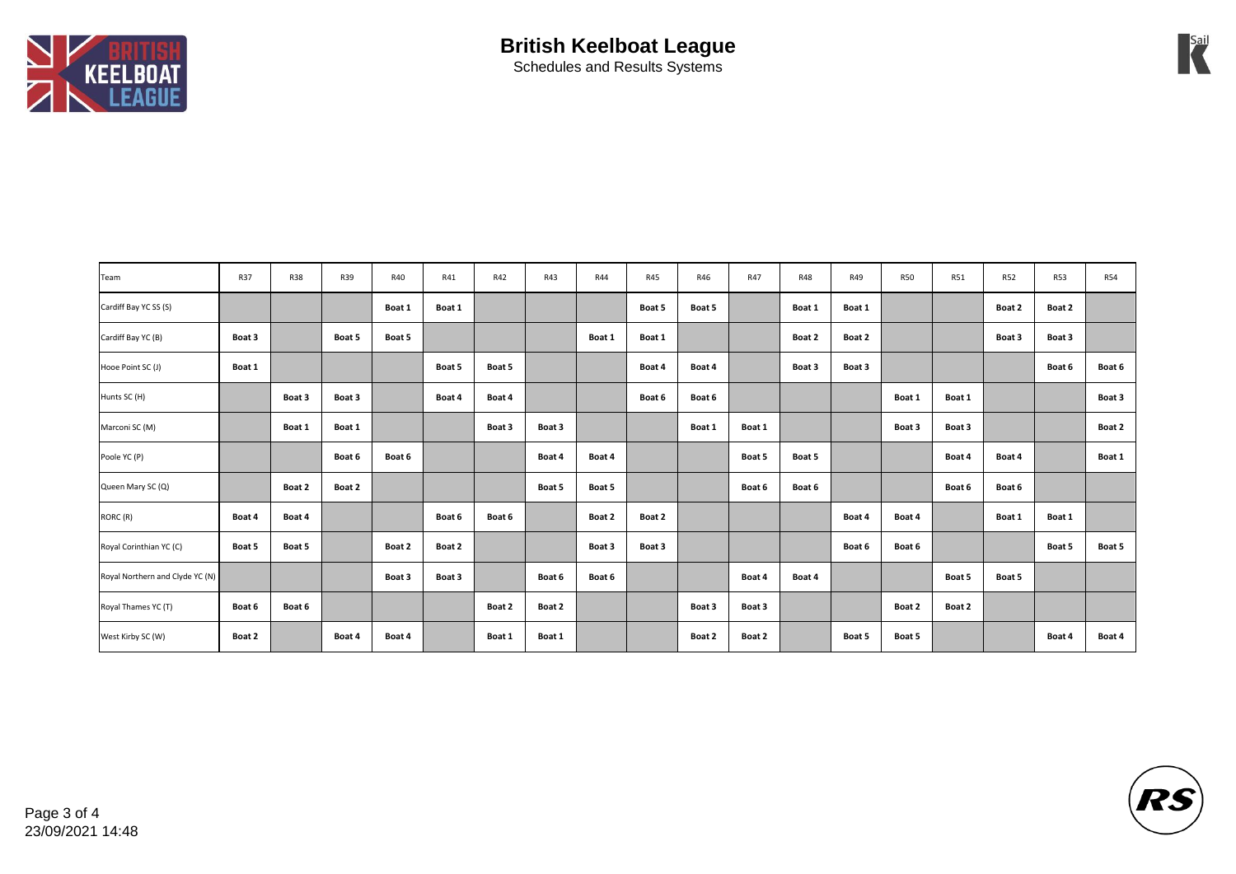

| Team                            | R37    | <b>R38</b> | R39    | R40    | R41    | R42    | <b>R43</b> | <b>R44</b> | R45    | R46    | R47    | <b>R48</b> | R49    | <b>R50</b> | <b>R51</b> | <b>R52</b> | <b>R53</b> | <b>R54</b> |
|---------------------------------|--------|------------|--------|--------|--------|--------|------------|------------|--------|--------|--------|------------|--------|------------|------------|------------|------------|------------|
| Cardiff Bay YC SS (S)           |        |            |        | Boat 1 | Boat 1 |        |            |            | Boat 5 | Boat 5 |        | Boat 1     | Boat 1 |            |            | Boat 2     | Boat 2     |            |
| Cardiff Bay YC (B)              | Boat 3 |            | Boat 5 | Boat 5 |        |        |            | Boat 1     | Boat 1 |        |        | Boat 2     | Boat 2 |            |            | Boat 3     | Boat 3     |            |
| Hooe Point SC (J)               | Boat 1 |            |        |        | Boat 5 | Boat 5 |            |            | Boat 4 | Boat 4 |        | Boat 3     | Boat 3 |            |            |            | Boat 6     | Boat 6     |
| Hunts SC (H)                    |        | Boat 3     | Boat 3 |        | Boat 4 | Boat 4 |            |            | Boat 6 | Boat 6 |        |            |        | Boat 1     | Boat 1     |            |            | Boat 3     |
| Marconi SC (M)                  |        | Boat 1     | Boat 1 |        |        | Boat 3 | Boat 3     |            |        | Boat 1 | Boat 1 |            |        | Boat 3     | Boat 3     |            |            | Boat 2     |
| Poole YC (P)                    |        |            | Boat 6 | Boat 6 |        |        | Boat 4     | Boat 4     |        |        | Boat 5 | Boat 5     |        |            | Boat 4     | Boat 4     |            | Boat 1     |
| Queen Mary SC (Q)               |        | Boat 2     | Boat 2 |        |        |        | Boat 5     | Boat 5     |        |        | Boat 6 | Boat 6     |        |            | Boat 6     | Boat 6     |            |            |
| RORC (R)                        | Boat 4 | Boat 4     |        |        | Boat 6 | Boat 6 |            | Boat 2     | Boat 2 |        |        |            | Boat 4 | Boat 4     |            | Boat 1     | Boat 1     |            |
| Royal Corinthian YC (C)         | Boat 5 | Boat 5     |        | Boat 2 | Boat 2 |        |            | Boat 3     | Boat 3 |        |        |            | Boat 6 | Boat 6     |            |            | Boat 5     | Boat 5     |
| Royal Northern and Clyde YC (N) |        |            |        | Boat 3 | Boat 3 |        | Boat 6     | Boat 6     |        |        | Boat 4 | Boat 4     |        |            | Boat 5     | Boat 5     |            |            |
| Royal Thames YC (T)             | Boat 6 | Boat 6     |        |        |        | Boat 2 | Boat 2     |            |        | Boat 3 | Boat 3 |            |        | Boat 2     | Boat 2     |            |            |            |
| West Kirby SC (W)               | Boat 2 |            | Boat 4 | Boat 4 |        | Boat 1 | Boat 1     |            |        | Boat 2 | Boat 2 |            | Boat 5 | Boat 5     |            |            | Boat 4     | Boat 4     |